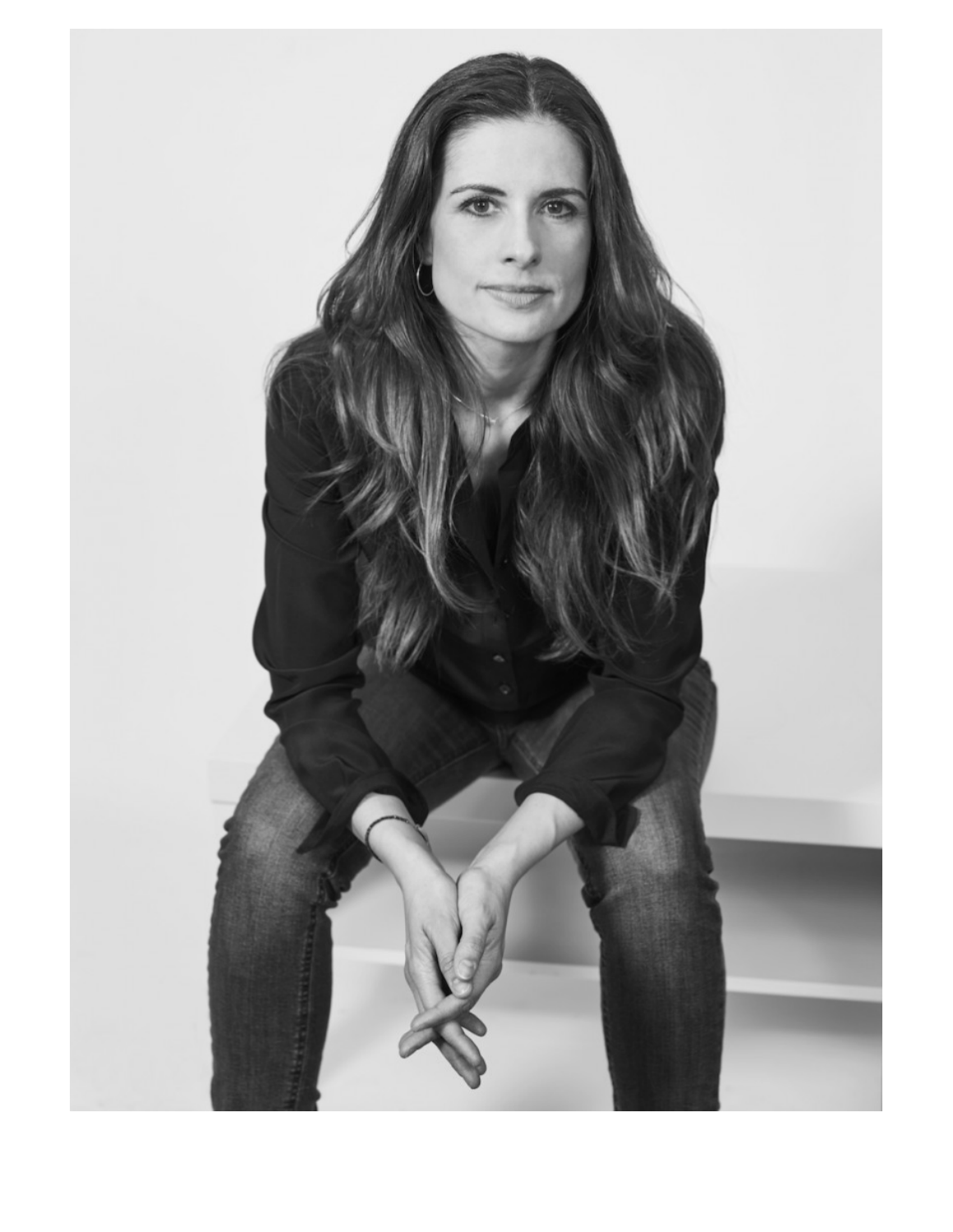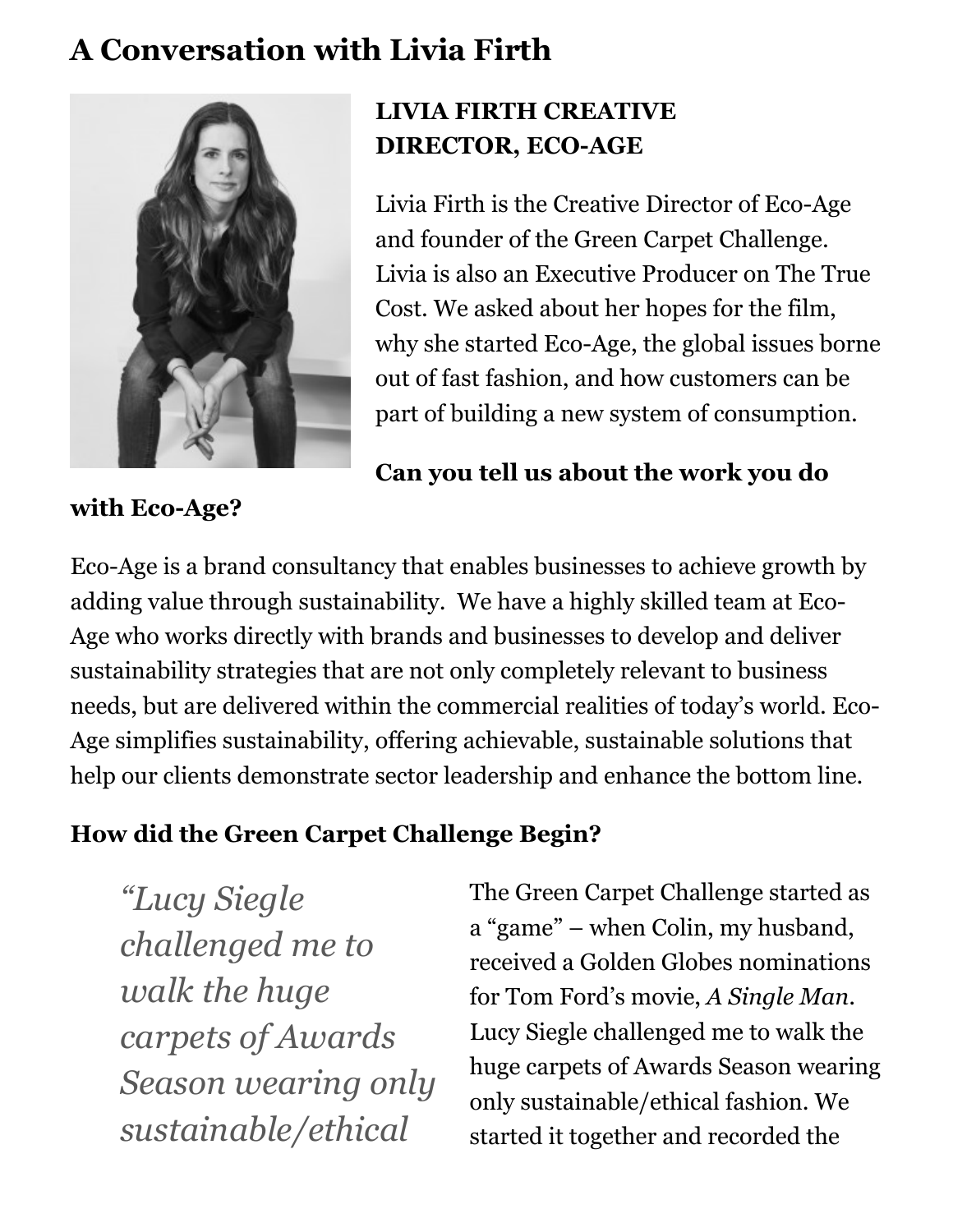## **A Conversation with Livia Firth**



**with Eco-Age?**

## **LIVIA FIRTH CREATIVE DIRECTOR, ECO-AGE**

Livia Firth is the Creative Director of Eco-Age and founder of the Green Carpet Challenge. Livia is also an Executive Producer on The True Cost. We asked about her hopes for the film, why she started Eco-Age, the global issues borne out of fast fashion, and how customers can be part of building a new system of consumption.

### **Can you tell us about the work you do**

Eco-Age is a brand consultancy that enables businesses to achieve growth by adding value through sustainability. We have a highly skilled team at Eco-Age who works directly with brands and businesses to develop and deliver sustainability strategies that are not only completely relevant to business needs, but are delivered within the commercial realities of today's world. Eco-Age simplifies sustainability, offering achievable, sustainable solutions that help our clients demonstrate sector leadership and enhance the bottom line.

#### **How did the Green Carpet Challenge Begin?**

*"Lucy Siegle challenged me to walk the huge carpets of Awards Season wearing only sustainable/ethical*

The Green Carpet Challenge started as a "game" – when Colin, my husband, received a Golden Globes nominations for Tom Ford's movie, *A Single Man*. Lucy Siegle challenged me to walk the huge carpets of Awards Season wearing only sustainable/ethical fashion. We started it together and recorded the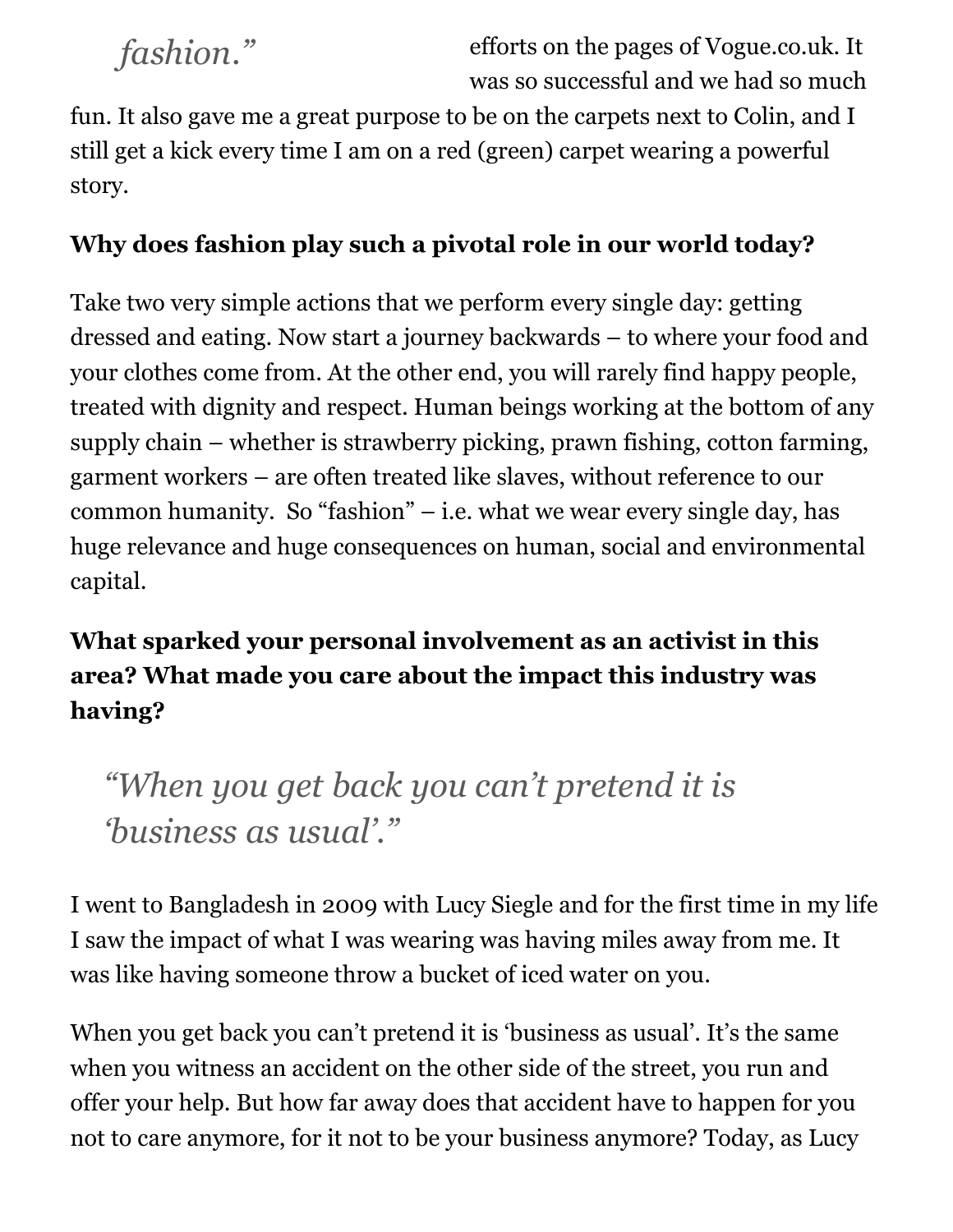*fashion."* efforts on the pages of Vogue.co.uk. It was so successful and we had so much

fun. It also gave me a great purpose to be on the carpets next to Colin, and I still get a kick every time I am on a red (green) carpet wearing a powerful story.

#### **Why does fashion play such a pivotal role in our world today?**

Take two very simple actions that we perform every single day: getting dressed and eating. Now start a journey backwards – to where your food and your clothes come from. At the other end, you will rarely find happy people, treated with dignity and respect. Human beings working at the bottom of any supply chain – whether is strawberry picking, prawn fishing, cotton farming, garment workers – are often treated like slaves, without reference to our common humanity. So "fashion" – i.e. what we wear every single day, has huge relevance and huge consequences on human, social and environmental capital.

## **What sparked your personal involvement as an activist in this area? What made you care about the impact this industry was having?**

# *"When you get back you can't pretend it is 'business as usual'."*

I went to Bangladesh in 2009 with Lucy Siegle and for the first time in my life I saw the impact of what I was wearing was having miles away from me. It was like having someone throw a bucket of iced water on you.

When you get back you can't pretend it is 'business as usual'. It's the same when you witness an accident on the other side of the street, you run and offer your help. But how far away does that accident have to happen for you not to care anymore, for it not to be your business anymore? Today, as Lucy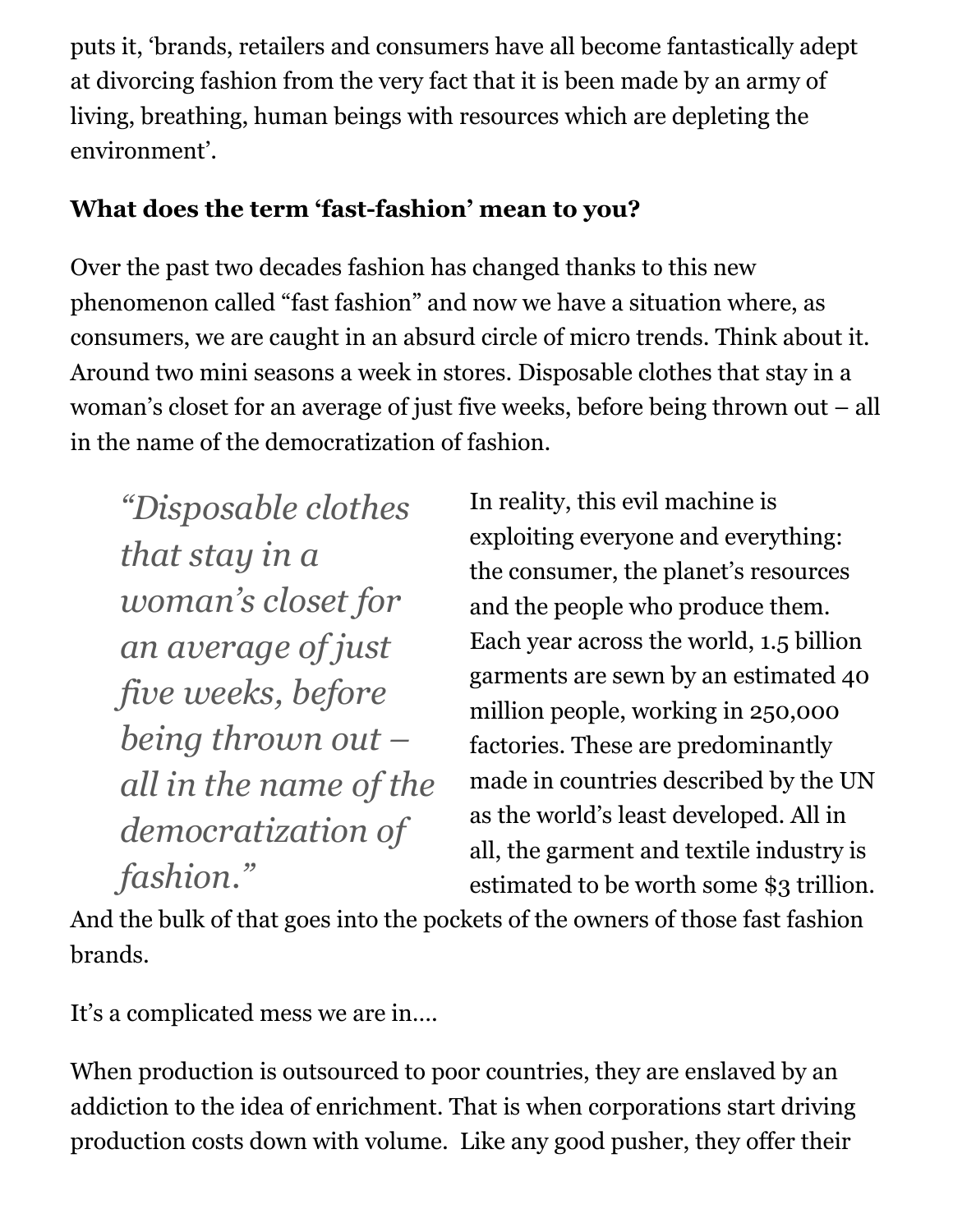puts it, 'brands, retailers and consumers have all become fantastically adept at divorcing fashion from the very fact that it is been made by an army of living, breathing, human beings with resources which are depleting the environment'.

#### **What does the term 'fast-fashion' mean to you?**

Over the past two decades fashion has changed thanks to this new phenomenon called "fast fashion" and now we have a situation where, as consumers, we are caught in an absurd circle of micro trends. Think about it. Around two mini seasons a week in stores. Disposable clothes that stay in a woman's closet for an average of just five weeks, before being thrown out – all in the name of the democratization of fashion.

*"Disposable clothes that stay in a woman's closet for an average of just five weeks, before being thrown out – all in the name of the democratization of fashion."*

In reality, this evil machine is exploiting everyone and everything: the consumer, the planet's resources and the people who produce them. Each year across the world, 1.5 billion garments are sewn by an estimated 40 million people, working in 250,000 factories. These are predominantly made in countries described by the UN as the world's least developed. All in all, the garment and textile industry is estimated to be worth some \$3 trillion.

And the bulk of that goes into the pockets of the owners of those fast fashion brands.

It's a complicated mess we are in….

When production is outsourced to poor countries, they are enslaved by an addiction to the idea of enrichment. That is when corporations start driving production costs down with volume. Like any good pusher, they offer their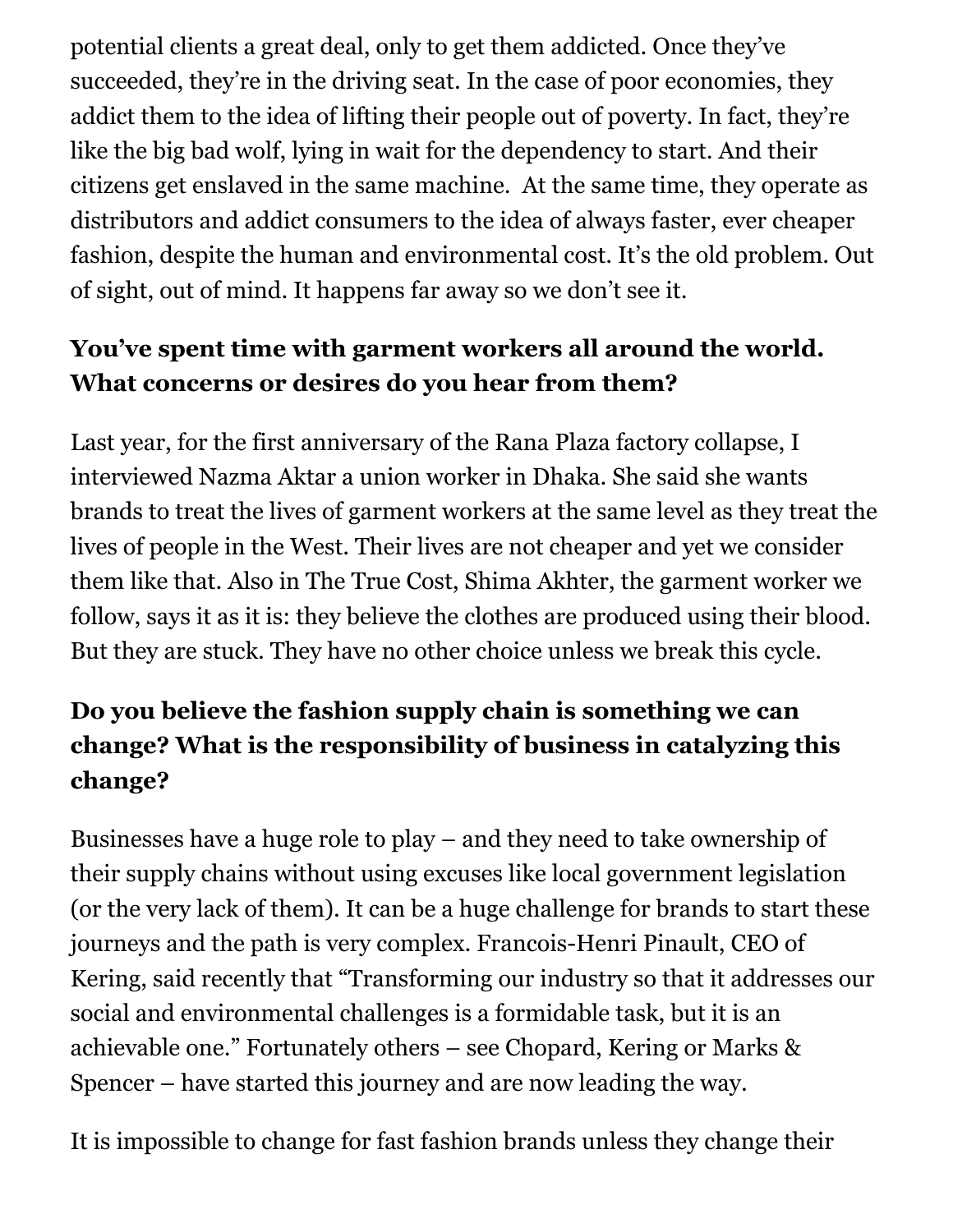potential clients a great deal, only to get them addicted. Once they've succeeded, they're in the driving seat. In the case of poor economies, they addict them to the idea of lifting their people out of poverty. In fact, they're like the big bad wolf, lying in wait for the dependency to start. And their citizens get enslaved in the same machine. At the same time, they operate as distributors and addict consumers to the idea of always faster, ever cheaper fashion, despite the human and environmental cost. It's the old problem. Out of sight, out of mind. It happens far away so we don't see it.

## **You've spent time with garment workers all around the world. What concerns or desires do you hear from them?**

Last year, for the first anniversary of the Rana Plaza factory collapse, I interviewed Nazma Aktar a union worker in Dhaka. She said she wants brands to treat the lives of garment workers at the same level as they treat the lives of people in the West. Their lives are not cheaper and yet we consider them like that. Also in The True Cost, Shima Akhter, the garment worker we follow, says it as it is: they believe the clothes are produced using their blood. But they are stuck. They have no other choice unless we break this cycle.

## **Do you believe the fashion supply chain is something we can change? What is the responsibility of business in catalyzing this change?**

Businesses have a huge role to play – and they need to take ownership of their supply chains without using excuses like local government legislation (or the very lack of them). It can be a huge challenge for brands to start these journeys and the path is very complex. Francois-Henri Pinault, CEO of Kering, said recently that "Transforming our industry so that it addresses our social and environmental challenges is a formidable task, but it is an achievable one." Fortunately others – see Chopard, Kering or Marks & Spencer – have started this journey and are now leading the way.

It is impossible to change for fast fashion brands unless they change their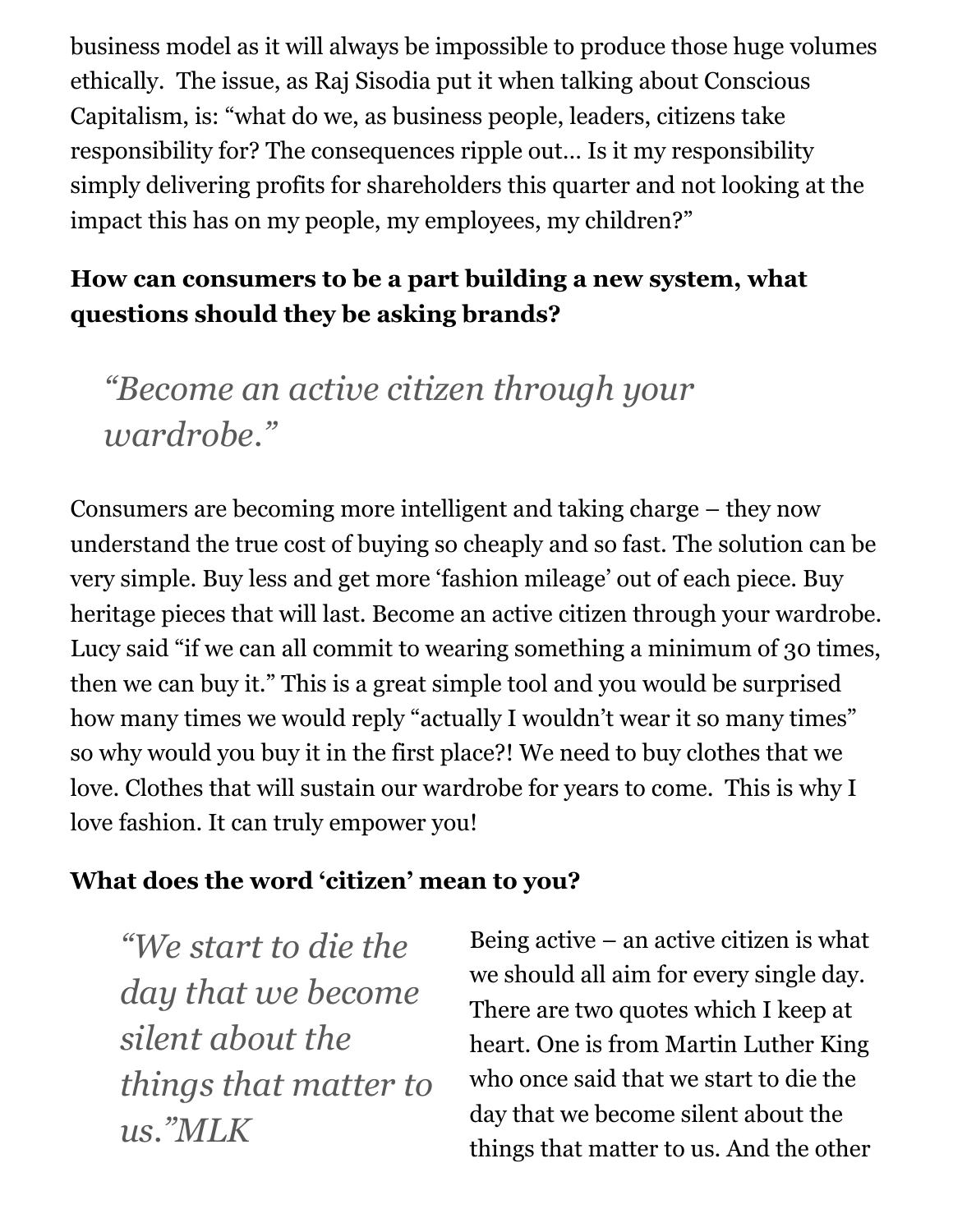business model as it will always be impossible to produce those huge volumes ethically. The issue, as Raj Sisodia put it when talking about Conscious Capitalism, is: "what do we, as business people, leaders, citizens take responsibility for? The consequences ripple out… Is it my responsibility simply delivering profits for shareholders this quarter and not looking at the impact this has on my people, my employees, my children?"

#### **How can consumers to be a part building a new system, what questions should they be asking brands?**

## *"Become an active citizen through your wardrobe."*

Consumers are becoming more intelligent and taking charge – they now understand the true cost of buying so cheaply and so fast. The solution can be very simple. Buy less and get more 'fashion mileage' out of each piece. Buy heritage pieces that will last. Become an active citizen through your wardrobe. Lucy said "if we can all commit to wearing something a minimum of 30 times, then we can buy it." This is a great simple tool and you would be surprised how many times we would reply "actually I wouldn't wear it so many times" so why would you buy it in the first place?! We need to buy clothes that we love. Clothes that will sustain our wardrobe for years to come. This is why I love fashion. It can truly empower you!

#### **What does the word 'citizen' mean to you?**

*"We start to die the day that we become silent about the things that matter to us."MLK*

Being active – an active citizen is what we should all aim for every single day. There are two quotes which I keep at heart. One is from Martin Luther King who once said that we start to die the day that we become silent about the things that matter to us. And the other